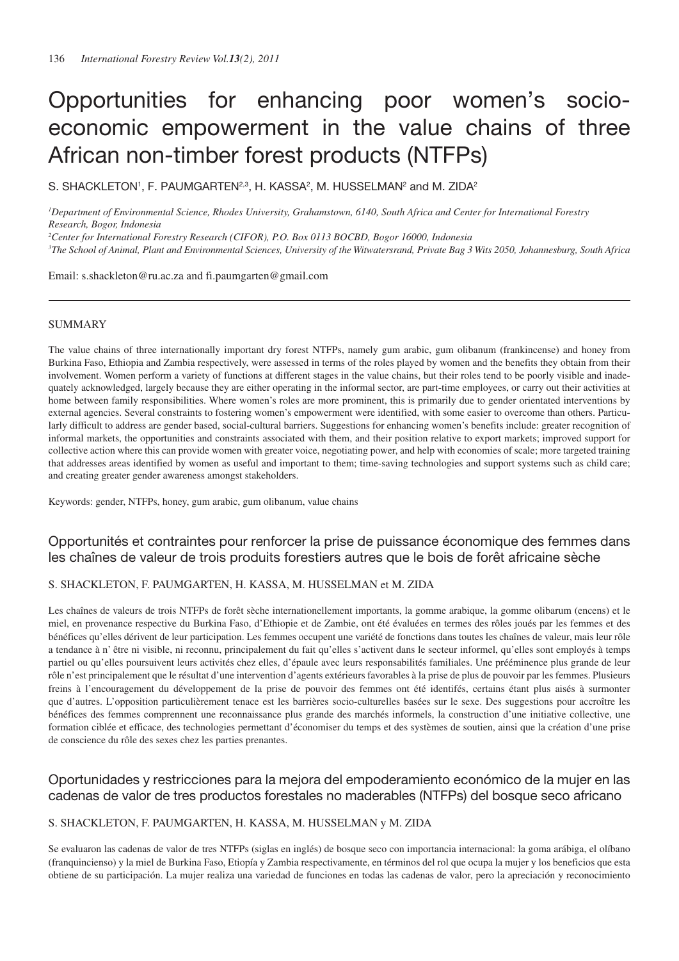# Opportunities for enhancing poor women's socioeconomic empowerment in the value chains of three African non-timber forest products (NTFPs)

S. SHACKLETON', F. PAUMGARTEN $^{2,3}$ , H. KASSA $^{2},$  M. HUSSELMAN $^{2}$  and M. ZIDA $^{2}$ 

*1 Department of Environmental Science, Rhodes University, Grahamstown, 6140, South Africa and Center for International Forestry Research, Bogor, Indonesia*

*2 Center for International Forestry Research (CIFOR), P.O. Box 0113 BOCBD, Bogor 16000, Indonesia*

*3 The School of Animal, Plant and Environmental Sciences, University of the Witwatersrand, Private Bag 3 Wits 2050, Johannesburg, South Africa*

Email: s.shackleton@ru.ac.za and fi.paumgarten@gmail.com

# SUMMARY

The value chains of three internationally important dry forest NTFPs, namely gum arabic, gum olibanum (frankincense) and honey from Burkina Faso, Ethiopia and Zambia respectively, were assessed in terms of the roles played by women and the benefits they obtain from their involvement. Women perform a variety of functions at different stages in the value chains, but their roles tend to be poorly visible and inadequately acknowledged, largely because they are either operating in the informal sector, are part-time employees, or carry out their activities at home between family responsibilities. Where women's roles are more prominent, this is primarily due to gender orientated interventions by external agencies. Several constraints to fostering women's empowerment were identified, with some easier to overcome than others. Particularly difficult to address are gender based, social-cultural barriers. Suggestions for enhancing women's benefits include: greater recognition of informal markets, the opportunities and constraints associated with them, and their position relative to export markets; improved support for collective action where this can provide women with greater voice, negotiating power, and help with economies of scale; more targeted training that addresses areas identified by women as useful and important to them; time-saving technologies and support systems such as child care; and creating greater gender awareness amongst stakeholders.

Keywords: gender, NTFPs, honey, gum arabic, gum olibanum, value chains

# Opportunités et contraintes pour renforcer la prise de puissance économique des femmes dans les chaînes de valeur de trois produits forestiers autres que le bois de forêt africaine sèche

# S. SHACKLETON, F. PAUMGARTEN, H. KASSA, M. HUSSELMAN et M. ZIDA

Les chaînes de valeurs de trois NTFPs de forêt sèche internationellement importants, la gomme arabique, la gomme olibarum (encens) et le miel, en provenance respective du Burkina Faso, d'Ethiopie et de Zambie, ont été évaluées en termes des rôles joués par les femmes et des bénéfices qu'elles dérivent de leur participation. Les femmes occupent une variété de fonctions dans toutes les chaînes de valeur, mais leur rôle a tendance à n' être ni visible, ni reconnu, principalement du fait qu'elles s'activent dans le secteur informel, qu'elles sont employés à temps partiel ou qu'elles poursuivent leurs activités chez elles, d'épaule avec leurs responsabilités familiales. Une prééminence plus grande de leur rôle n'est principalement que le résultat d'une intervention d'agents extérieurs favorables à la prise de plus de pouvoir par les femmes. Plusieurs freins à l'encouragement du développement de la prise de pouvoir des femmes ont été identifés, certains étant plus aisés à surmonter que d'autres. L'opposition particulièrement tenace est les barrières socio-culturelles basées sur le sexe. Des suggestions pour accroître les bénéfices des femmes comprennent une reconnaissance plus grande des marchés informels, la construction d'une initiative collective, une formation ciblée et efficace, des technologies permettant d'économiser du temps et des systèmes de soutien, ainsi que la création d'une prise de conscience du rôle des sexes chez les parties prenantes.

# Oportunidades y restricciones para la mejora del empoderamiento económico de la mujer en las cadenas de valor de tres productos forestales no maderables (NTFPs) del bosque seco africano

# S. SHACKLETON, F. PAUMGARTEN, H. KASSA, M. HUSSELMAN y M. ZIDA

Se evaluaron las cadenas de valor de tres NTFPs (siglas en inglés) de bosque seco con importancia internacional: la goma arábiga, el olíbano (franquincienso) y la miel de Burkina Faso, Etiopía y Zambia respectivamente, en términos del rol que ocupa la mujer y los beneficios que esta obtiene de su participación. La mujer realiza una variedad de funciones en todas las cadenas de valor, pero la apreciación y reconocimiento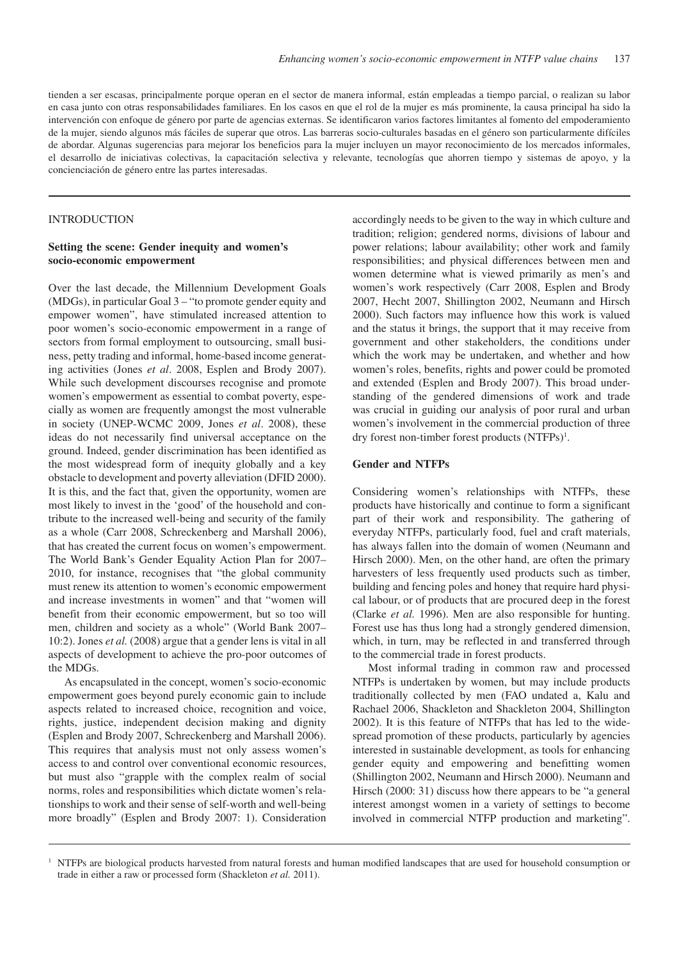tienden a ser escasas, principalmente porque operan en el sector de manera informal, están empleadas a tiempo parcial, o realizan su labor en casa junto con otras responsabilidades familiares. En los casos en que el rol de la mujer es más prominente, la causa principal ha sido la intervención con enfoque de género por parte de agencias externas. Se identificaron varios factores limitantes al fomento del empoderamiento de la mujer, siendo algunos más fáciles de superar que otros. Las barreras socio-culturales basadas en el género son particularmente difíciles de abordar. Algunas sugerencias para mejorar los beneficios para la mujer incluyen un mayor reconocimiento de los mercados informales, el desarrollo de iniciativas colectivas, la capacitación selectiva y relevante, tecnologías que ahorren tiempo y sistemas de apoyo, y la concienciación de género entre las partes interesadas.

#### INTRODUCTION

## **Setting the scene: Gender inequity and women's socio-economic empowerment**

Over the last decade, the Millennium Development Goals (MDGs), in particular Goal 3 – "to promote gender equity and empower women", have stimulated increased attention to poor women's socio-economic empowerment in a range of sectors from formal employment to outsourcing, small business, petty trading and informal, home-based income generating activities (Jones *et al*. 2008, Esplen and Brody 2007). While such development discourses recognise and promote women's empowerment as essential to combat poverty, especially as women are frequently amongst the most vulnerable in society (UNEP-WCMC 2009, Jones *et al*. 2008), these ideas do not necessarily find universal acceptance on the ground. Indeed, gender discrimination has been identified as the most widespread form of inequity globally and a key obstacle to development and poverty alleviation (DFID 2000). It is this, and the fact that, given the opportunity, women are most likely to invest in the 'good' of the household and contribute to the increased well-being and security of the family as a whole (Carr 2008, Schreckenberg and Marshall 2006), that has created the current focus on women's empowerment. The World Bank's Gender Equality Action Plan for 2007– 2010, for instance, recognises that "the global community must renew its attention to women's economic empowerment and increase investments in women" and that "women will benefit from their economic empowerment, but so too will men, children and society as a whole" (World Bank 2007– 10:2). Jones *et al.* (2008) argue that a gender lens is vital in all aspects of development to achieve the pro-poor outcomes of the MDGs.

As encapsulated in the concept, women's socio-economic empowerment goes beyond purely economic gain to include aspects related to increased choice, recognition and voice, rights, justice, independent decision making and dignity (Esplen and Brody 2007, Schreckenberg and Marshall 2006). This requires that analysis must not only assess women's access to and control over conventional economic resources, but must also "grapple with the complex realm of social norms, roles and responsibilities which dictate women's relationships to work and their sense of self-worth and well-being more broadly" (Esplen and Brody 2007: 1). Consideration accordingly needs to be given to the way in which culture and tradition; religion; gendered norms, divisions of labour and power relations; labour availability; other work and family responsibilities; and physical differences between men and women determine what is viewed primarily as men's and women's work respectively (Carr 2008, Esplen and Brody 2007, Hecht 2007, Shillington 2002, Neumann and Hirsch 2000). Such factors may influence how this work is valued and the status it brings, the support that it may receive from government and other stakeholders, the conditions under which the work may be undertaken, and whether and how women's roles, benefits, rights and power could be promoted and extended (Esplen and Brody 2007). This broad understanding of the gendered dimensions of work and trade was crucial in guiding our analysis of poor rural and urban women's involvement in the commercial production of three dry forest non-timber forest products (NTFPs)<sup>1</sup>.

#### **Gender and NTFPs**

Considering women's relationships with NTFPs, these products have historically and continue to form a significant part of their work and responsibility. The gathering of everyday NTFPs, particularly food, fuel and craft materials, has always fallen into the domain of women (Neumann and Hirsch 2000). Men, on the other hand, are often the primary harvesters of less frequently used products such as timber, building and fencing poles and honey that require hard physical labour, or of products that are procured deep in the forest (Clarke *et al.* 1996). Men are also responsible for hunting. Forest use has thus long had a strongly gendered dimension, which, in turn, may be reflected in and transferred through to the commercial trade in forest products.

Most informal trading in common raw and processed NTFPs is undertaken by women, but may include products traditionally collected by men (FAO undated a, Kalu and Rachael 2006, Shackleton and Shackleton 2004, Shillington 2002). It is this feature of NTFPs that has led to the widespread promotion of these products, particularly by agencies interested in sustainable development, as tools for enhancing gender equity and empowering and benefitting women (Shillington 2002, Neumann and Hirsch 2000). Neumann and Hirsch (2000: 31) discuss how there appears to be "a general interest amongst women in a variety of settings to become involved in commercial NTFP production and marketing".

<sup>&</sup>lt;sup>1</sup> NTFPs are biological products harvested from natural forests and human modified landscapes that are used for household consumption or trade in either a raw or processed form (Shackleton *et al.* 2011).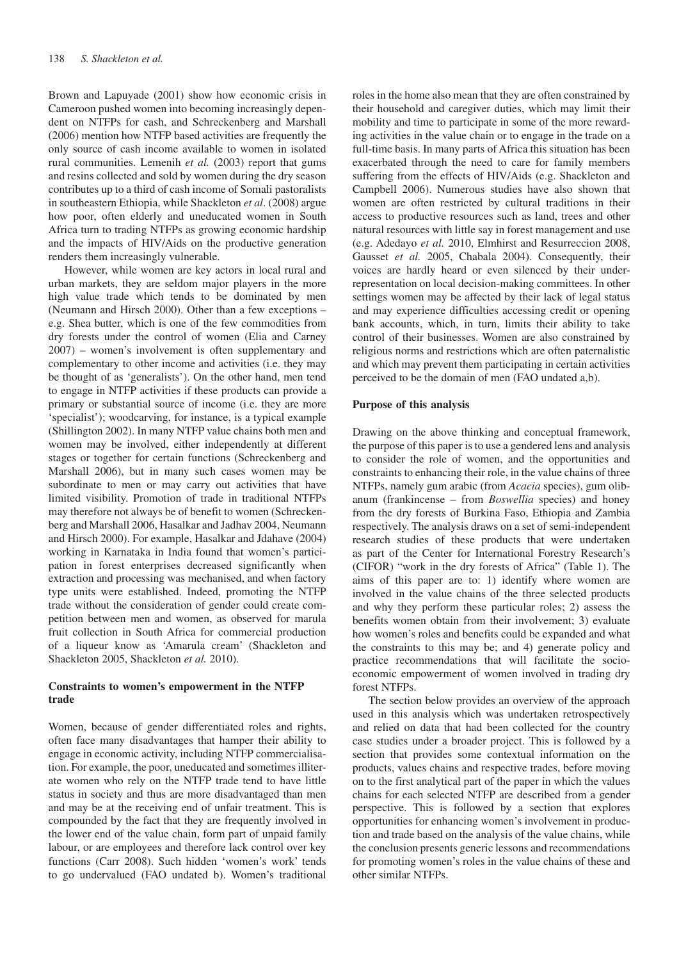Brown and Lapuyade (2001) show how economic crisis in Cameroon pushed women into becoming increasingly dependent on NTFPs for cash, and Schreckenberg and Marshall (2006) mention how NTFP based activities are frequently the only source of cash income available to women in isolated rural communities. Lemenih *et al.* (2003) report that gums and resins collected and sold by women during the dry season contributes up to a third of cash income of Somali pastoralists in southeastern Ethiopia, while Shackleton *et al*. (2008) argue how poor, often elderly and uneducated women in South Africa turn to trading NTFPs as growing economic hardship and the impacts of HIV/Aids on the productive generation renders them increasingly vulnerable.

However, while women are key actors in local rural and urban markets, they are seldom major players in the more high value trade which tends to be dominated by men (Neumann and Hirsch 2000). Other than a few exceptions – e.g. Shea butter, which is one of the few commodities from dry forests under the control of women (Elia and Carney 2007) – women's involvement is often supplementary and complementary to other income and activities (i.e. they may be thought of as 'generalists'). On the other hand, men tend to engage in NTFP activities if these products can provide a primary or substantial source of income (i.e. they are more 'specialist'); woodcarving, for instance, is a typical example (Shillington 2002). In many NTFP value chains both men and women may be involved, either independently at different stages or together for certain functions (Schreckenberg and Marshall 2006), but in many such cases women may be subordinate to men or may carry out activities that have limited visibility. Promotion of trade in traditional NTFPs may therefore not always be of benefit to women (Schreckenberg and Marshall 2006, Hasalkar and Jadhav 2004, Neumann and Hirsch 2000). For example, Hasalkar and Jdahave (2004) working in Karnataka in India found that women's participation in forest enterprises decreased significantly when extraction and processing was mechanised, and when factory type units were established. Indeed, promoting the NTFP trade without the consideration of gender could create competition between men and women, as observed for marula fruit collection in South Africa for commercial production of a liqueur know as 'Amarula cream' (Shackleton and Shackleton 2005, Shackleton *et al.* 2010).

## **Constraints to women's empowerment in the NTFP trade**

Women, because of gender differentiated roles and rights, often face many disadvantages that hamper their ability to engage in economic activity, including NTFP commercialisation. For example, the poor, uneducated and sometimes illiterate women who rely on the NTFP trade tend to have little status in society and thus are more disadvantaged than men and may be at the receiving end of unfair treatment. This is compounded by the fact that they are frequently involved in the lower end of the value chain, form part of unpaid family labour, or are employees and therefore lack control over key functions (Carr 2008). Such hidden 'women's work' tends to go undervalued (FAO undated b). Women's traditional

roles in the home also mean that they are often constrained by their household and caregiver duties, which may limit their mobility and time to participate in some of the more rewarding activities in the value chain or to engage in the trade on a full-time basis. In many parts of Africa this situation has been exacerbated through the need to care for family members suffering from the effects of HIV/Aids (e.g. Shackleton and Campbell 2006). Numerous studies have also shown that women are often restricted by cultural traditions in their access to productive resources such as land, trees and other natural resources with little say in forest management and use (e.g. Adedayo *et al.* 2010, Elmhirst and Resurreccion 2008, Gausset *et al.* 2005, Chabala 2004). Consequently, their voices are hardly heard or even silenced by their underrepresentation on local decision-making committees. In other settings women may be affected by their lack of legal status and may experience difficulties accessing credit or opening bank accounts, which, in turn, limits their ability to take control of their businesses. Women are also constrained by religious norms and restrictions which are often paternalistic and which may prevent them participating in certain activities perceived to be the domain of men (FAO undated a,b).

#### **Purpose of this analysis**

Drawing on the above thinking and conceptual framework, the purpose of this paper is to use a gendered lens and analysis to consider the role of women, and the opportunities and constraints to enhancing their role, in the value chains of three NTFPs, namely gum arabic (from *Acacia* species), gum olibanum (frankincense – from *Boswellia* species) and honey from the dry forests of Burkina Faso, Ethiopia and Zambia respectively. The analysis draws on a set of semi-independent research studies of these products that were undertaken as part of the Center for International Forestry Research's (CIFOR) "work in the dry forests of Africa" (Table 1). The aims of this paper are to: 1) identify where women are involved in the value chains of the three selected products and why they perform these particular roles; 2) assess the benefits women obtain from their involvement; 3) evaluate how women's roles and benefits could be expanded and what the constraints to this may be; and 4) generate policy and practice recommendations that will facilitate the socioeconomic empowerment of women involved in trading dry forest NTFPs.

The section below provides an overview of the approach used in this analysis which was undertaken retrospectively and relied on data that had been collected for the country case studies under a broader project. This is followed by a section that provides some contextual information on the products, values chains and respective trades, before moving on to the first analytical part of the paper in which the values chains for each selected NTFP are described from a gender perspective. This is followed by a section that explores opportunities for enhancing women's involvement in production and trade based on the analysis of the value chains, while the conclusion presents generic lessons and recommendations for promoting women's roles in the value chains of these and other similar NTFPs.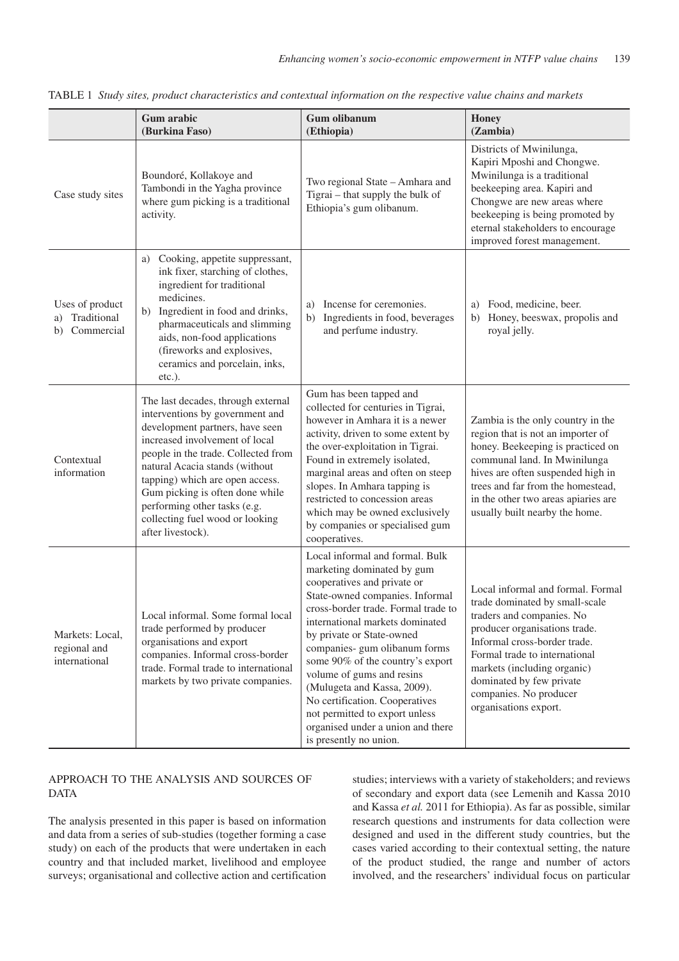|                                                          | <b>Gum</b> arabic<br>(Burkina Faso)                                                                                                                                                                                                                                                                                                                                               | <b>Gum olibanum</b><br>(Ethiopia)                                                                                                                                                                                                                                                                                                                                                                                                                                                                          | Honey<br>(Zambia)                                                                                                                                                                                                                                                                                                |
|----------------------------------------------------------|-----------------------------------------------------------------------------------------------------------------------------------------------------------------------------------------------------------------------------------------------------------------------------------------------------------------------------------------------------------------------------------|------------------------------------------------------------------------------------------------------------------------------------------------------------------------------------------------------------------------------------------------------------------------------------------------------------------------------------------------------------------------------------------------------------------------------------------------------------------------------------------------------------|------------------------------------------------------------------------------------------------------------------------------------------------------------------------------------------------------------------------------------------------------------------------------------------------------------------|
| Case study sites                                         | Boundoré, Kollakoye and<br>Tambondi in the Yagha province<br>where gum picking is a traditional<br>activity.                                                                                                                                                                                                                                                                      | Two regional State - Amhara and<br>Tigrai – that supply the bulk of<br>Ethiopia's gum olibanum.                                                                                                                                                                                                                                                                                                                                                                                                            | Districts of Mwinilunga,<br>Kapiri Mposhi and Chongwe.<br>Mwinilunga is a traditional<br>beekeeping area. Kapiri and<br>Chongwe are new areas where<br>beekeeping is being promoted by<br>eternal stakeholders to encourage<br>improved forest management.                                                       |
| Uses of product<br>Traditional<br>a)<br>Commercial<br>b) | Cooking, appetite suppressant,<br>a)<br>ink fixer, starching of clothes,<br>ingredient for traditional<br>medicines.<br>b) Ingredient in food and drinks,<br>pharmaceuticals and slimming<br>aids, non-food applications<br>(fireworks and explosives,<br>ceramics and porcelain, inks,<br>$etc.$ ).                                                                              | Incense for ceremonies.<br>a)<br>Ingredients in food, beverages<br>b)<br>and perfume industry.                                                                                                                                                                                                                                                                                                                                                                                                             | Food, medicine, beer.<br>a)<br>b) Honey, beeswax, propolis and<br>royal jelly.                                                                                                                                                                                                                                   |
| Contextual<br>information                                | The last decades, through external<br>interventions by government and<br>development partners, have seen<br>increased involvement of local<br>people in the trade. Collected from<br>natural Acacia stands (without<br>tapping) which are open access.<br>Gum picking is often done while<br>performing other tasks (e.g.<br>collecting fuel wood or looking<br>after livestock). | Gum has been tapped and<br>collected for centuries in Tigrai,<br>however in Amhara it is a newer<br>activity, driven to some extent by<br>the over-exploitation in Tigrai.<br>Found in extremely isolated,<br>marginal areas and often on steep<br>slopes. In Amhara tapping is<br>restricted to concession areas<br>which may be owned exclusively<br>by companies or specialised gum<br>cooperatives.                                                                                                    | Zambia is the only country in the<br>region that is not an importer of<br>honey. Beekeeping is practiced on<br>communal land. In Mwinilunga<br>hives are often suspended high in<br>trees and far from the homestead,<br>in the other two areas apiaries are<br>usually built nearby the home.                   |
| Markets: Local,<br>regional and<br>international         | Local informal. Some formal local<br>trade performed by producer<br>organisations and export<br>companies. Informal cross-border<br>trade. Formal trade to international<br>markets by two private companies.                                                                                                                                                                     | Local informal and formal. Bulk<br>marketing dominated by gum<br>cooperatives and private or<br>State-owned companies. Informal<br>cross-border trade. Formal trade to<br>international markets dominated<br>by private or State-owned<br>companies- gum olibanum forms<br>some 90% of the country's export<br>volume of gums and resins<br>(Mulugeta and Kassa, 2009).<br>No certification. Cooperatives<br>not permitted to export unless<br>organised under a union and there<br>is presently no union. | Local informal and formal. Formal<br>trade dominated by small-scale<br>traders and companies. No<br>producer organisations trade.<br>Informal cross-border trade.<br>Formal trade to international<br>markets (including organic)<br>dominated by few private<br>companies. No producer<br>organisations export. |

TABLE 1 *Study sites, product characteristics and contextual information on the respective value chains and markets*

# APPROACH TO THE ANALYSIS AND SOURCES OF DATA

The analysis presented in this paper is based on information and data from a series of sub-studies (together forming a case study) on each of the products that were undertaken in each country and that included market, livelihood and employee surveys; organisational and collective action and certification studies; interviews with a variety of stakeholders; and reviews of secondary and export data (see Lemenih and Kassa 2010 and Kassa *et al.* 2011 for Ethiopia). As far as possible, similar research questions and instruments for data collection were designed and used in the different study countries, but the cases varied according to their contextual setting, the nature of the product studied, the range and number of actors involved, and the researchers' individual focus on particular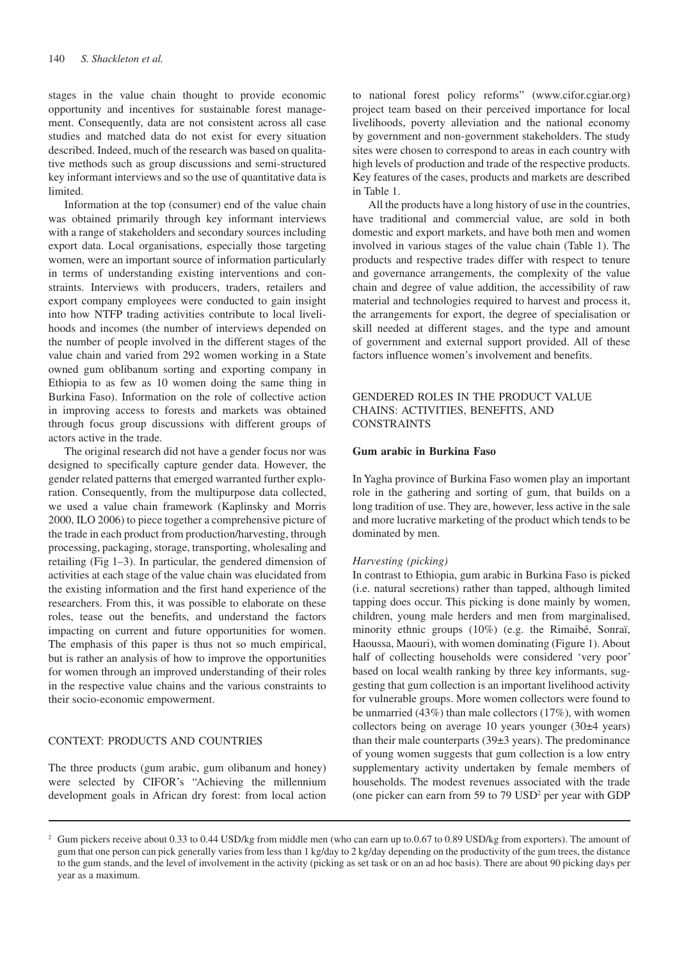stages in the value chain thought to provide economic opportunity and incentives for sustainable forest management. Consequently, data are not consistent across all case studies and matched data do not exist for every situation described. Indeed, much of the research was based on qualitative methods such as group discussions and semi-structured key informant interviews and so the use of quantitative data is limited.

Information at the top (consumer) end of the value chain was obtained primarily through key informant interviews with a range of stakeholders and secondary sources including export data. Local organisations, especially those targeting women, were an important source of information particularly in terms of understanding existing interventions and constraints. Interviews with producers, traders, retailers and export company employees were conducted to gain insight into how NTFP trading activities contribute to local livelihoods and incomes (the number of interviews depended on the number of people involved in the different stages of the value chain and varied from 292 women working in a State owned gum oblibanum sorting and exporting company in Ethiopia to as few as 10 women doing the same thing in Burkina Faso). Information on the role of collective action in improving access to forests and markets was obtained through focus group discussions with different groups of actors active in the trade.

The original research did not have a gender focus nor was designed to specifically capture gender data. However, the gender related patterns that emerged warranted further exploration. Consequently, from the multipurpose data collected, we used a value chain framework (Kaplinsky and Morris 2000, ILO 2006) to piece together a comprehensive picture of the trade in each product from production/harvesting, through processing, packaging, storage, transporting, wholesaling and retailing (Fig 1–3). In particular, the gendered dimension of activities at each stage of the value chain was elucidated from the existing information and the first hand experience of the researchers. From this, it was possible to elaborate on these roles, tease out the benefits, and understand the factors impacting on current and future opportunities for women. The emphasis of this paper is thus not so much empirical, but is rather an analysis of how to improve the opportunities for women through an improved understanding of their roles in the respective value chains and the various constraints to their socio-economic empowerment.

### CONTEXT: PRODUCTS AND COUNTRIES

The three products (gum arabic, gum olibanum and honey) were selected by CIFOR's "Achieving the millennium development goals in African dry forest: from local action

to national forest policy reforms" (www.cifor.cgiar.org) project team based on their perceived importance for local livelihoods, poverty alleviation and the national economy by government and non-government stakeholders. The study sites were chosen to correspond to areas in each country with high levels of production and trade of the respective products. Key features of the cases, products and markets are described in Table 1.

All the products have a long history of use in the countries, have traditional and commercial value, are sold in both domestic and export markets, and have both men and women involved in various stages of the value chain (Table 1). The products and respective trades differ with respect to tenure and governance arrangements, the complexity of the value chain and degree of value addition, the accessibility of raw material and technologies required to harvest and process it, the arrangements for export, the degree of specialisation or skill needed at different stages, and the type and amount of government and external support provided. All of these factors influence women's involvement and benefits.

# GENDERED ROLES IN THE PRODUCT VALUE CHAINS: ACTIVITIES, BENEFITS, AND **CONSTRAINTS**

#### **Gum arabic in Burkina Faso**

In Yagha province of Burkina Faso women play an important role in the gathering and sorting of gum, that builds on a long tradition of use. They are, however, less active in the sale and more lucrative marketing of the product which tends to be dominated by men.

#### *Harvesting (picking)*

In contrast to Ethiopia, gum arabic in Burkina Faso is picked (i.e. natural secretions) rather than tapped, although limited tapping does occur. This picking is done mainly by women, children, young male herders and men from marginalised, minority ethnic groups (10%) (e.g. the Rimaibé, Sonraï, Haoussa, Maouri), with women dominating (Figure 1). About half of collecting households were considered 'very poor' based on local wealth ranking by three key informants, suggesting that gum collection is an important livelihood activity for vulnerable groups. More women collectors were found to be unmarried (43%) than male collectors (17%), with women collectors being on average 10 years younger  $(30±4 \text{ years})$ than their male counterparts  $(39±3 \text{ years})$ . The predominance of young women suggests that gum collection is a low entry supplementary activity undertaken by female members of households. The modest revenues associated with the trade (one picker can earn from 59 to 79 USD<sup>2</sup> per year with GDP

<sup>&</sup>lt;sup>2</sup> Gum pickers receive about 0.33 to 0.44 USD/kg from middle men (who can earn up to.0.67 to 0.89 USD/kg from exporters). The amount of gum that one person can pick generally varies from less than 1 kg/day to 2 kg/day depending on the productivity of the gum trees, the distance to the gum stands, and the level of involvement in the activity (picking as set task or on an ad hoc basis). There are about 90 picking days per year as a maximum.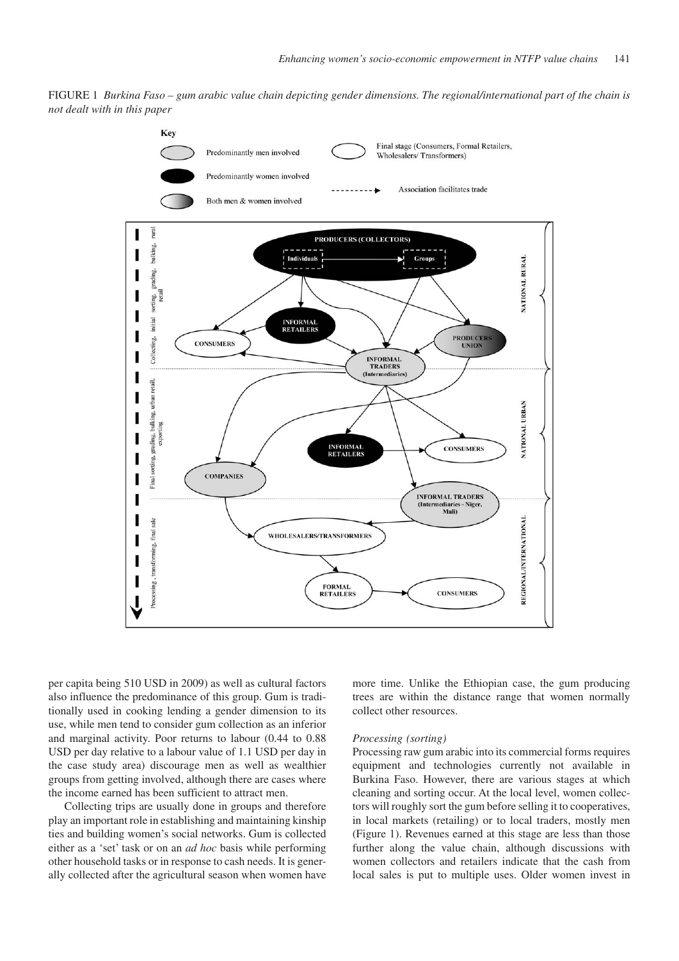



per capita being 510 USD in 2009) as well as cultural factors also influence the predominance of this group. Gum is traditionally used in cooking lending a gender dimension to its use, while men tend to consider gum collection as an inferior and marginal activity. Poor returns to labour (0.44 to 0.88 USD per day relative to a labour value of 1.1 USD per day in the case study area) discourage men as well as wealthier groups from getting involved, although there are cases where the income earned has been sufficient to attract men.

Collecting trips are usually done in groups and therefore play an important role in establishing and maintaining kinship ties and building women's social networks. Gum is collected either as a 'set' task or on an *ad hoc* basis while performing other household tasks or in response to cash needs. It is generally collected after the agricultural season when women have more time. Unlike the Ethiopian case, the gum producing trees are within the distance range that women normally collect other resources.

#### *Processing (sorting)*

Processing raw gum arabic into its commercial forms requires equipment and technologies currently not available in Burkina Faso. However, there are various stages at which cleaning and sorting occur. At the local level, women collectors will roughly sort the gum before selling it to cooperatives, in local markets (retailing) or to local traders, mostly men (Figure 1). Revenues earned at this stage are less than those further along the value chain, although discussions with women collectors and retailers indicate that the cash from local sales is put to multiple uses. Older women invest in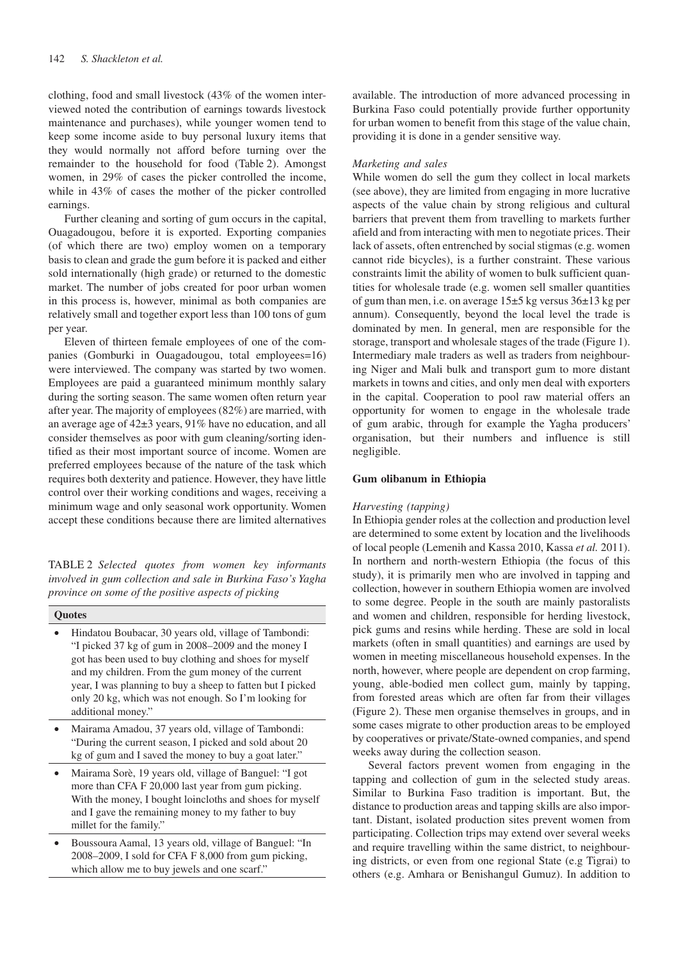clothing, food and small livestock (43% of the women interviewed noted the contribution of earnings towards livestock maintenance and purchases), while younger women tend to keep some income aside to buy personal luxury items that they would normally not afford before turning over the remainder to the household for food (Table 2). Amongst women, in 29% of cases the picker controlled the income, while in 43% of cases the mother of the picker controlled earnings.

Further cleaning and sorting of gum occurs in the capital, Ouagadougou, before it is exported. Exporting companies (of which there are two) employ women on a temporary basis to clean and grade the gum before it is packed and either sold internationally (high grade) or returned to the domestic market. The number of jobs created for poor urban women in this process is, however, minimal as both companies are relatively small and together export less than 100 tons of gum per year.

Eleven of thirteen female employees of one of the companies (Gomburki in Ouagadougou, total employees=16) were interviewed. The company was started by two women. Employees are paid a guaranteed minimum monthly salary during the sorting season. The same women often return year after year. The majority of employees (82%) are married, with an average age of 42±3 years, 91% have no education, and all consider themselves as poor with gum cleaning/sorting identified as their most important source of income. Women are preferred employees because of the nature of the task which requires both dexterity and patience. However, they have little control over their working conditions and wages, receiving a minimum wage and only seasonal work opportunity. Women accept these conditions because there are limited alternatives

TABLE 2 *Selected quotes from women key informants involved in gum collection and sale in Burkina Faso's Yagha province on some of the positive aspects of picking*

#### **Quotes**

- Hindatou Boubacar, 30 years old, village of Tambondi: "I picked 37 kg of gum in 2008–2009 and the money I got has been used to buy clothing and shoes for myself and my children. From the gum money of the current year, I was planning to buy a sheep to fatten but I picked only 20 kg, which was not enough. So I'm looking for additional money."
- Mairama Amadou, 37 years old, village of Tambondi: "During the current season, I picked and sold about 20 kg of gum and I saved the money to buy a goat later."
- Mairama Sorè, 19 years old, village of Banguel: "I got more than CFA F 20,000 last year from gum picking. With the money, I bought loincloths and shoes for myself and I gave the remaining money to my father to buy millet for the family."
- Boussoura Aamal, 13 years old, village of Banguel: "In 2008–2009, I sold for CFA F 8,000 from gum picking, which allow me to buy jewels and one scarf."

available. The introduction of more advanced processing in Burkina Faso could potentially provide further opportunity for urban women to benefit from this stage of the value chain, providing it is done in a gender sensitive way.

#### *Marketing and sales*

While women do sell the gum they collect in local markets (see above), they are limited from engaging in more lucrative aspects of the value chain by strong religious and cultural barriers that prevent them from travelling to markets further afield and from interacting with men to negotiate prices. Their lack of assets, often entrenched by social stigmas (e.g. women cannot ride bicycles), is a further constraint. These various constraints limit the ability of women to bulk sufficient quantities for wholesale trade (e.g. women sell smaller quantities of gum than men, i.e. on average 15±5 kg versus 36±13 kg per annum). Consequently, beyond the local level the trade is dominated by men. In general, men are responsible for the storage, transport and wholesale stages of the trade (Figure 1). Intermediary male traders as well as traders from neighbouring Niger and Mali bulk and transport gum to more distant markets in towns and cities, and only men deal with exporters in the capital. Cooperation to pool raw material offers an opportunity for women to engage in the wholesale trade of gum arabic, through for example the Yagha producers' organisation, but their numbers and influence is still negligible.

#### **Gum olibanum in Ethiopia**

#### *Harvesting (tapping)*

In Ethiopia gender roles at the collection and production level are determined to some extent by location and the livelihoods of local people (Lemenih and Kassa 2010, Kassa *et al.* 2011). In northern and north-western Ethiopia (the focus of this study), it is primarily men who are involved in tapping and collection, however in southern Ethiopia women are involved to some degree. People in the south are mainly pastoralists and women and children, responsible for herding livestock, pick gums and resins while herding. These are sold in local markets (often in small quantities) and earnings are used by women in meeting miscellaneous household expenses. In the north, however, where people are dependent on crop farming, young, able-bodied men collect gum, mainly by tapping, from forested areas which are often far from their villages (Figure 2). These men organise themselves in groups, and in some cases migrate to other production areas to be employed by cooperatives or private/State-owned companies, and spend weeks away during the collection season.

Several factors prevent women from engaging in the tapping and collection of gum in the selected study areas. Similar to Burkina Faso tradition is important. But, the distance to production areas and tapping skills are also important. Distant, isolated production sites prevent women from participating. Collection trips may extend over several weeks and require travelling within the same district, to neighbouring districts, or even from one regional State (e.g Tigrai) to others (e.g. Amhara or Benishangul Gumuz). In addition to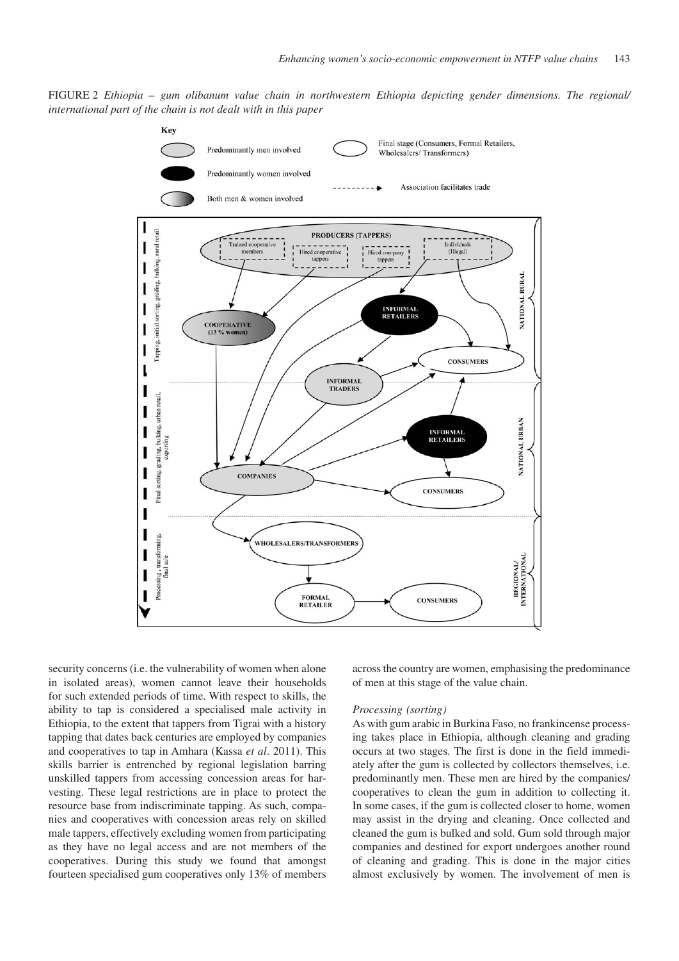FIGURE 2 *Ethiopia – gum olibanum value chain in northwestern Ethiopia depicting gender dimensions. The regional/ international part of the chain is not dealt with in this paper*



security concerns (*i.e.* the vulnerability of women when alone in isolated areas), women cannot leave their households for such extended periods of time. With respect to skills, the ability to tap is considered a specialised male activity in Ethiopia, to the extent that tappers from Tigrai with a history tapping that dates back centuries are employed by companies and cooperatives to tap in Amhara (Kassa *et al*. 2011). This skills barrier is entrenched by regional legislation barring unskilled tappers from accessing concession areas for harvesting. These legal restrictions are in place to protect the resource base from indiscriminate tapping. As such, companies and cooperatives with concession areas rely on skilled male tappers, effectively excluding women from participating as they have no legal access and are not members of the cooperatives. During this study we found that amongst fourteen specialised gum cooperatives only 13% of members

across the country are women, emphasising the predominance of men at this stage of the value chain.

#### *Processing (sorting)*

As with gum arabic in Burkina Faso, no frankincense processing takes place in Ethiopia, although cleaning and grading occurs at two stages. The first is done in the field immediately after the gum is collected by collectors themselves, i.e. predominantly men. These men are hired by the companies/ cooperatives to clean the gum in addition to collecting it. In some cases, if the gum is collected closer to home, women may assist in the drying and cleaning. Once collected and cleaned the gum is bulked and sold. Gum sold through major companies and destined for export undergoes another round of cleaning and grading. This is done in the major cities almost exclusively by women. The involvement of men is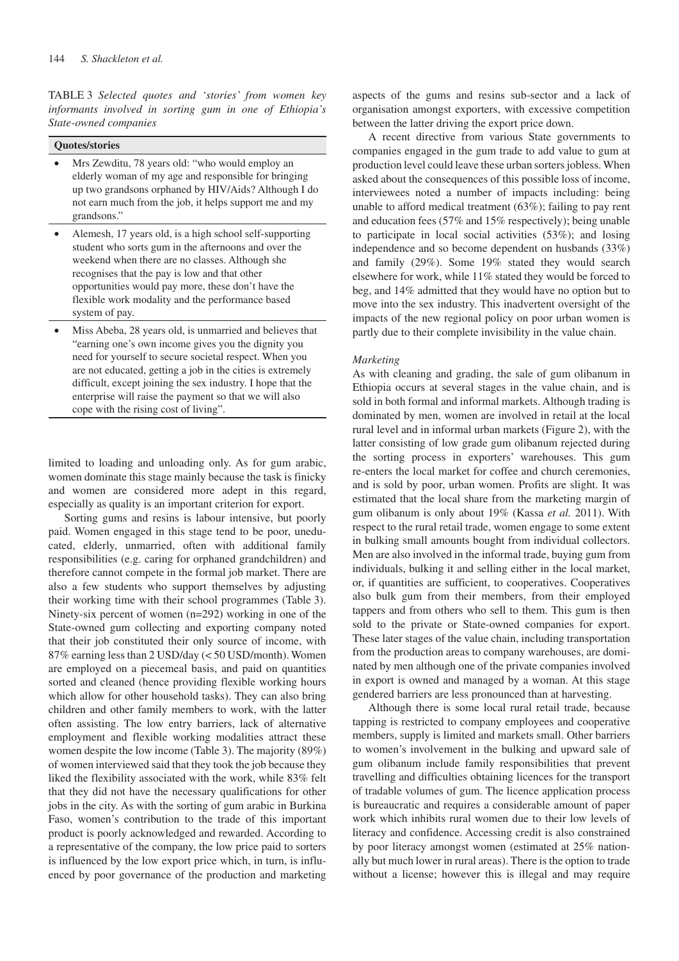TABLE 3 *Selected quotes and 'stories' from women key informants involved in sorting gum in one of Ethiopia's State-owned companies*

#### **Quotes/stories**

- Mrs Zewditu, 78 years old: "who would employ an elderly woman of my age and responsible for bringing up two grandsons orphaned by HIV/Aids? Although I do not earn much from the job, it helps support me and my grandsons."
- Alemesh, 17 years old, is a high school self-supporting student who sorts gum in the afternoons and over the weekend when there are no classes. Although she recognises that the pay is low and that other opportunities would pay more, these don't have the flexible work modality and the performance based system of pay.
- Miss Abeba, 28 years old, is unmarried and believes that "earning one's own income gives you the dignity you need for yourself to secure societal respect. When you are not educated, getting a job in the cities is extremely difficult, except joining the sex industry. I hope that the enterprise will raise the payment so that we will also cope with the rising cost of living".

limited to loading and unloading only. As for gum arabic, women dominate this stage mainly because the task is finicky and women are considered more adept in this regard, especially as quality is an important criterion for export.

Sorting gums and resins is labour intensive, but poorly paid. Women engaged in this stage tend to be poor, uneducated, elderly, unmarried, often with additional family responsibilities (e.g. caring for orphaned grandchildren) and therefore cannot compete in the formal job market. There are also a few students who support themselves by adjusting their working time with their school programmes (Table 3). Ninety-six percent of women (n=292) working in one of the State-owned gum collecting and exporting company noted that their job constituted their only source of income, with 87% earning less than 2 USD/day (< 50 USD/month). Women are employed on a piecemeal basis, and paid on quantities sorted and cleaned (hence providing flexible working hours which allow for other household tasks). They can also bring children and other family members to work, with the latter often assisting. The low entry barriers, lack of alternative employment and flexible working modalities attract these women despite the low income (Table 3). The majority (89%) of women interviewed said that they took the job because they liked the flexibility associated with the work, while 83% felt that they did not have the necessary qualifications for other jobs in the city. As with the sorting of gum arabic in Burkina Faso, women's contribution to the trade of this important product is poorly acknowledged and rewarded. According to a representative of the company, the low price paid to sorters is influenced by the low export price which, in turn, is influenced by poor governance of the production and marketing aspects of the gums and resins sub-sector and a lack of organisation amongst exporters, with excessive competition between the latter driving the export price down.

A recent directive from various State governments to companies engaged in the gum trade to add value to gum at production level could leave these urban sorters jobless. When asked about the consequences of this possible loss of income, interviewees noted a number of impacts including: being unable to afford medical treatment (63%); failing to pay rent and education fees (57% and 15% respectively); being unable to participate in local social activities (53%); and losing independence and so become dependent on husbands (33%) and family (29%). Some 19% stated they would search elsewhere for work, while 11% stated they would be forced to beg, and 14% admitted that they would have no option but to move into the sex industry. This inadvertent oversight of the impacts of the new regional policy on poor urban women is partly due to their complete invisibility in the value chain.

#### *Marketing*

As with cleaning and grading, the sale of gum olibanum in Ethiopia occurs at several stages in the value chain, and is sold in both formal and informal markets. Although trading is dominated by men, women are involved in retail at the local rural level and in informal urban markets (Figure 2), with the latter consisting of low grade gum olibanum rejected during the sorting process in exporters' warehouses. This gum re-enters the local market for coffee and church ceremonies, and is sold by poor, urban women. Profits are slight. It was estimated that the local share from the marketing margin of gum olibanum is only about 19% (Kassa *et al.* 2011). With respect to the rural retail trade, women engage to some extent in bulking small amounts bought from individual collectors. Men are also involved in the informal trade, buying gum from individuals, bulking it and selling either in the local market, or, if quantities are sufficient, to cooperatives. Cooperatives also bulk gum from their members, from their employed tappers and from others who sell to them. This gum is then sold to the private or State-owned companies for export. These later stages of the value chain, including transportation from the production areas to company warehouses, are dominated by men although one of the private companies involved in export is owned and managed by a woman. At this stage gendered barriers are less pronounced than at harvesting.

Although there is some local rural retail trade, because tapping is restricted to company employees and cooperative members, supply is limited and markets small. Other barriers to women's involvement in the bulking and upward sale of gum olibanum include family responsibilities that prevent travelling and difficulties obtaining licences for the transport of tradable volumes of gum. The licence application process is bureaucratic and requires a considerable amount of paper work which inhibits rural women due to their low levels of literacy and confidence. Accessing credit is also constrained by poor literacy amongst women (estimated at 25% nationally but much lower in rural areas). There is the option to trade without a license; however this is illegal and may require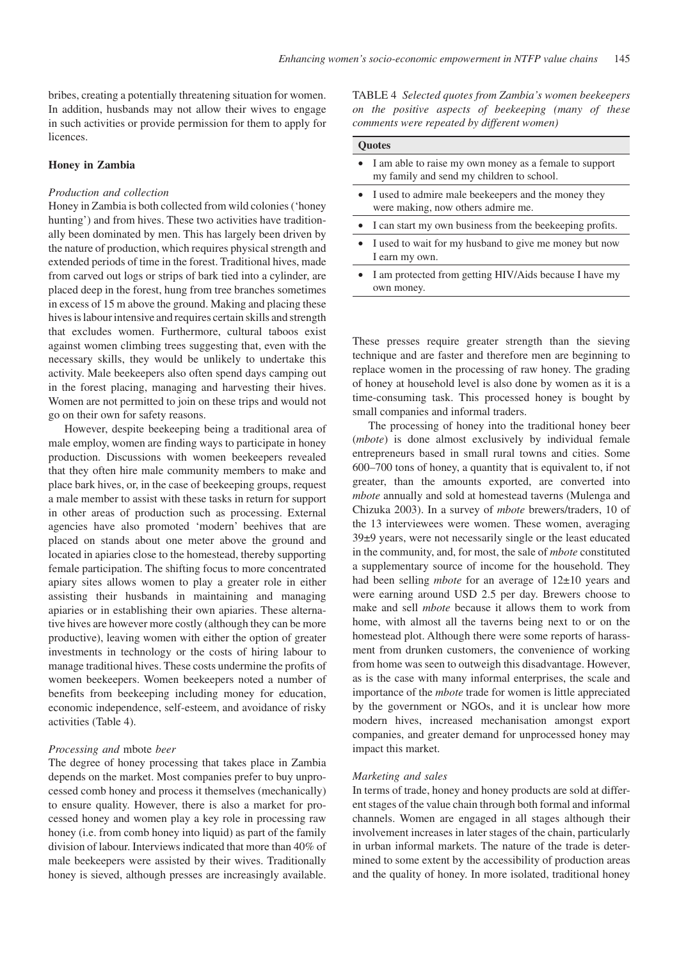bribes, creating a potentially threatening situation for women. In addition, husbands may not allow their wives to engage in such activities or provide permission for them to apply for licences.

#### **Honey in Zambia**

# *Production and collection*

Honey in Zambia is both collected from wild colonies ('honey hunting') and from hives. These two activities have traditionally been dominated by men. This has largely been driven by the nature of production, which requires physical strength and extended periods of time in the forest. Traditional hives, made from carved out logs or strips of bark tied into a cylinder, are placed deep in the forest, hung from tree branches sometimes in excess of 15 m above the ground. Making and placing these hives is labour intensive and requires certain skills and strength that excludes women. Furthermore, cultural taboos exist against women climbing trees suggesting that, even with the necessary skills, they would be unlikely to undertake this activity. Male beekeepers also often spend days camping out in the forest placing, managing and harvesting their hives. Women are not permitted to join on these trips and would not go on their own for safety reasons.

However, despite beekeeping being a traditional area of male employ, women are finding ways to participate in honey production. Discussions with women beekeepers revealed that they often hire male community members to make and place bark hives, or, in the case of beekeeping groups, request a male member to assist with these tasks in return for support in other areas of production such as processing. External agencies have also promoted 'modern' beehives that are placed on stands about one meter above the ground and located in apiaries close to the homestead, thereby supporting female participation. The shifting focus to more concentrated apiary sites allows women to play a greater role in either assisting their husbands in maintaining and managing apiaries or in establishing their own apiaries. These alternative hives are however more costly (although they can be more productive), leaving women with either the option of greater investments in technology or the costs of hiring labour to manage traditional hives. These costs undermine the profits of women beekeepers. Women beekeepers noted a number of benefits from beekeeping including money for education, economic independence, self-esteem, and avoidance of risky activities (Table 4).

#### *Processing and* mbote *beer*

The degree of honey processing that takes place in Zambia depends on the market. Most companies prefer to buy unprocessed comb honey and process it themselves (mechanically) to ensure quality. However, there is also a market for processed honey and women play a key role in processing raw honey (i.e. from comb honey into liquid) as part of the family division of labour. Interviews indicated that more than 40% of male beekeepers were assisted by their wives. Traditionally honey is sieved, although presses are increasingly available.

TABLE 4 *Selected quotes from Zambia's women beekeepers on the positive aspects of beekeeping (many of these comments were repeated by different women)*

#### **Quotes**

- I am able to raise my own money as a female to support my family and send my children to school.
- I used to admire male beekeepers and the money they were making, now others admire me.
- I can start my own business from the beekeeping profits.
- I used to wait for my husband to give me money but now I earn my own.
- I am protected from getting HIV/Aids because I have my own money.

These presses require greater strength than the sieving technique and are faster and therefore men are beginning to replace women in the processing of raw honey. The grading of honey at household level is also done by women as it is a time-consuming task. This processed honey is bought by small companies and informal traders.

The processing of honey into the traditional honey beer (*mbote*) is done almost exclusively by individual female entrepreneurs based in small rural towns and cities. Some 600–700 tons of honey, a quantity that is equivalent to, if not greater, than the amounts exported, are converted into *mbote* annually and sold at homestead taverns (Mulenga and Chizuka 2003). In a survey of *mbote* brewers/traders, 10 of the 13 interviewees were women. These women, averaging 39±9 years, were not necessarily single or the least educated in the community, and, for most, the sale of *mbote* constituted a supplementary source of income for the household. They had been selling *mbote* for an average of 12±10 years and were earning around USD 2.5 per day. Brewers choose to make and sell *mbote* because it allows them to work from home, with almost all the taverns being next to or on the homestead plot. Although there were some reports of harassment from drunken customers, the convenience of working from home was seen to outweigh this disadvantage. However, as is the case with many informal enterprises, the scale and importance of the *mbote* trade for women is little appreciated by the government or NGOs, and it is unclear how more modern hives, increased mechanisation amongst export companies, and greater demand for unprocessed honey may impact this market.

#### *Marketing and sales*

In terms of trade, honey and honey products are sold at different stages of the value chain through both formal and informal channels. Women are engaged in all stages although their involvement increases in later stages of the chain, particularly in urban informal markets. The nature of the trade is determined to some extent by the accessibility of production areas and the quality of honey. In more isolated, traditional honey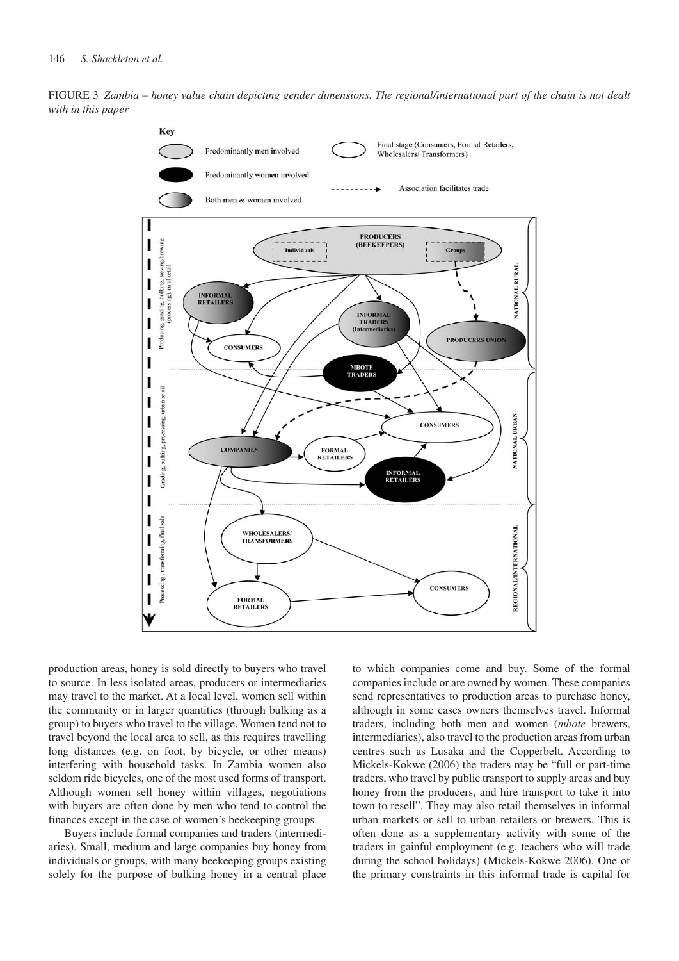FIGURE 3 *Zambia – honey value chain depicting gender dimensions. The regional/international part of the chain is not dealt with in this paper*



production areas, honey is sold directly to buyers who travel to source. In less isolated areas, producers or intermediaries may travel to the market. At a local level, women sell within the community or in larger quantities (through bulking as a group) to buyers who travel to the village. Women tend not to travel beyond the local area to sell, as this requires travelling long distances (e.g. on foot, by bicycle, or other means) interfering with household tasks. In Zambia women also seldom ride bicycles, one of the most used forms of transport. Although women sell honey within villages, negotiations with buyers are often done by men who tend to control the finances except in the case of women's beekeeping groups.

Buyers include formal companies and traders (intermediaries). Small, medium and large companies buy honey from individuals or groups, with many beekeeping groups existing solely for the purpose of bulking honey in a central place

to which companies come and buy. Some of the formal companies include or are owned by women. These companies send representatives to production areas to purchase honey, although in some cases owners themselves travel. Informal traders, including both men and women (*mbote* brewers, intermediaries), also travel to the production areas from urban centres such as Lusaka and the Copperbelt. According to Mickels-Kokwe (2006) the traders may be "full or part-time traders, who travel by public transport to supply areas and buy honey from the producers, and hire transport to take it into town to resell". They may also retail themselves in informal urban markets or sell to urban retailers or brewers. This is often done as a supplementary activity with some of the traders in gainful employment (e.g. teachers who will trade during the school holidays) (Mickels-Kokwe 2006). One of the primary constraints in this informal trade is capital for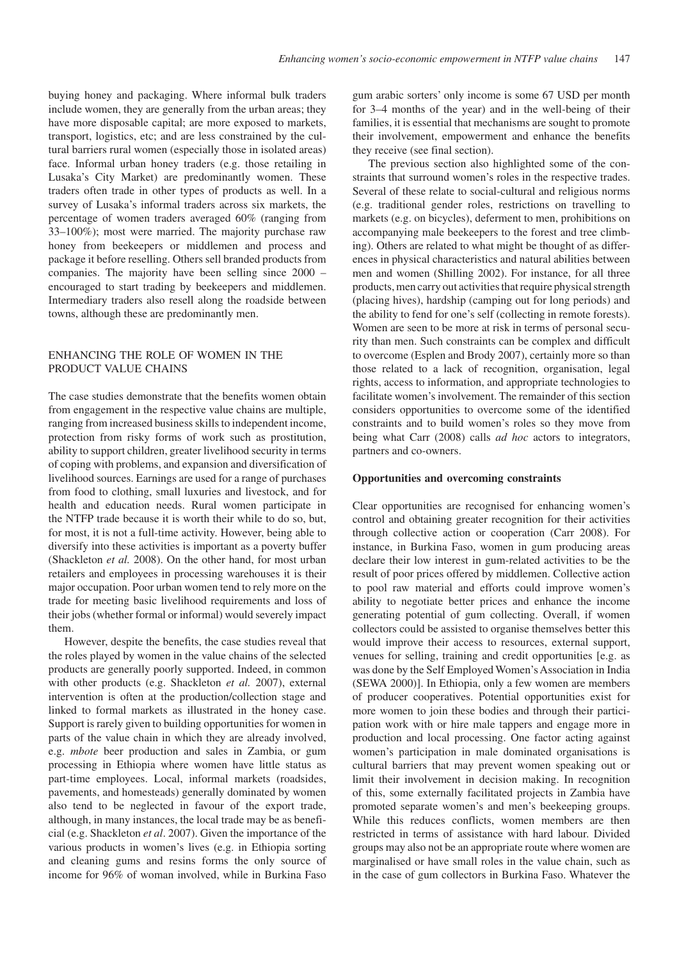buying honey and packaging. Where informal bulk traders include women, they are generally from the urban areas; they have more disposable capital; are more exposed to markets, transport, logistics, etc; and are less constrained by the cultural barriers rural women (especially those in isolated areas) face. Informal urban honey traders (e.g. those retailing in Lusaka's City Market) are predominantly women. These traders often trade in other types of products as well. In a survey of Lusaka's informal traders across six markets, the percentage of women traders averaged 60% (ranging from 33–100%); most were married. The majority purchase raw honey from beekeepers or middlemen and process and package it before reselling. Others sell branded products from companies. The majority have been selling since 2000 – encouraged to start trading by beekeepers and middlemen. Intermediary traders also resell along the roadside between towns, although these are predominantly men.

# ENHANCING THE ROLE OF WOMEN IN THE PRODUCT VALUE CHAINS

The case studies demonstrate that the benefits women obtain from engagement in the respective value chains are multiple, ranging from increased business skills to independent income, protection from risky forms of work such as prostitution, ability to support children, greater livelihood security in terms of coping with problems, and expansion and diversification of livelihood sources. Earnings are used for a range of purchases from food to clothing, small luxuries and livestock, and for health and education needs. Rural women participate in the NTFP trade because it is worth their while to do so, but, for most, it is not a full-time activity. However, being able to diversify into these activities is important as a poverty buffer (Shackleton *et al.* 2008). On the other hand, for most urban retailers and employees in processing warehouses it is their major occupation. Poor urban women tend to rely more on the trade for meeting basic livelihood requirements and loss of their jobs (whether formal or informal) would severely impact them.

However, despite the benefits, the case studies reveal that the roles played by women in the value chains of the selected products are generally poorly supported. Indeed, in common with other products (e.g. Shackleton *et al.* 2007), external intervention is often at the production/collection stage and linked to formal markets as illustrated in the honey case. Support is rarely given to building opportunities for women in parts of the value chain in which they are already involved, e.g. *mbote* beer production and sales in Zambia, or gum processing in Ethiopia where women have little status as part-time employees. Local, informal markets (roadsides, pavements, and homesteads) generally dominated by women also tend to be neglected in favour of the export trade, although, in many instances, the local trade may be as beneficial (e.g. Shackleton *et al*. 2007). Given the importance of the various products in women's lives (e.g. in Ethiopia sorting and cleaning gums and resins forms the only source of income for 96% of woman involved, while in Burkina Faso gum arabic sorters' only income is some 67 USD per month for 3–4 months of the year) and in the well-being of their families, it is essential that mechanisms are sought to promote their involvement, empowerment and enhance the benefits they receive (see final section).

The previous section also highlighted some of the constraints that surround women's roles in the respective trades. Several of these relate to social-cultural and religious norms (e.g. traditional gender roles, restrictions on travelling to markets (e.g. on bicycles), deferment to men, prohibitions on accompanying male beekeepers to the forest and tree climbing). Others are related to what might be thought of as differences in physical characteristics and natural abilities between men and women (Shilling 2002). For instance, for all three products, men carry out activities that require physical strength (placing hives), hardship (camping out for long periods) and the ability to fend for one's self (collecting in remote forests). Women are seen to be more at risk in terms of personal security than men. Such constraints can be complex and difficult to overcome (Esplen and Brody 2007), certainly more so than those related to a lack of recognition, organisation, legal rights, access to information, and appropriate technologies to facilitate women's involvement. The remainder of this section considers opportunities to overcome some of the identified constraints and to build women's roles so they move from being what Carr (2008) calls *ad hoc* actors to integrators, partners and co-owners.

#### **Opportunities and overcoming constraints**

Clear opportunities are recognised for enhancing women's control and obtaining greater recognition for their activities through collective action or cooperation (Carr 2008). For instance, in Burkina Faso, women in gum producing areas declare their low interest in gum-related activities to be the result of poor prices offered by middlemen. Collective action to pool raw material and efforts could improve women's ability to negotiate better prices and enhance the income generating potential of gum collecting. Overall, if women collectors could be assisted to organise themselves better this would improve their access to resources, external support, venues for selling, training and credit opportunities [e.g. as was done by the Self Employed Women's Association in India (SEWA 2000)]. In Ethiopia, only a few women are members of producer cooperatives. Potential opportunities exist for more women to join these bodies and through their participation work with or hire male tappers and engage more in production and local processing. One factor acting against women's participation in male dominated organisations is cultural barriers that may prevent women speaking out or limit their involvement in decision making. In recognition of this, some externally facilitated projects in Zambia have promoted separate women's and men's beekeeping groups. While this reduces conflicts, women members are then restricted in terms of assistance with hard labour. Divided groups may also not be an appropriate route where women are marginalised or have small roles in the value chain, such as in the case of gum collectors in Burkina Faso. Whatever the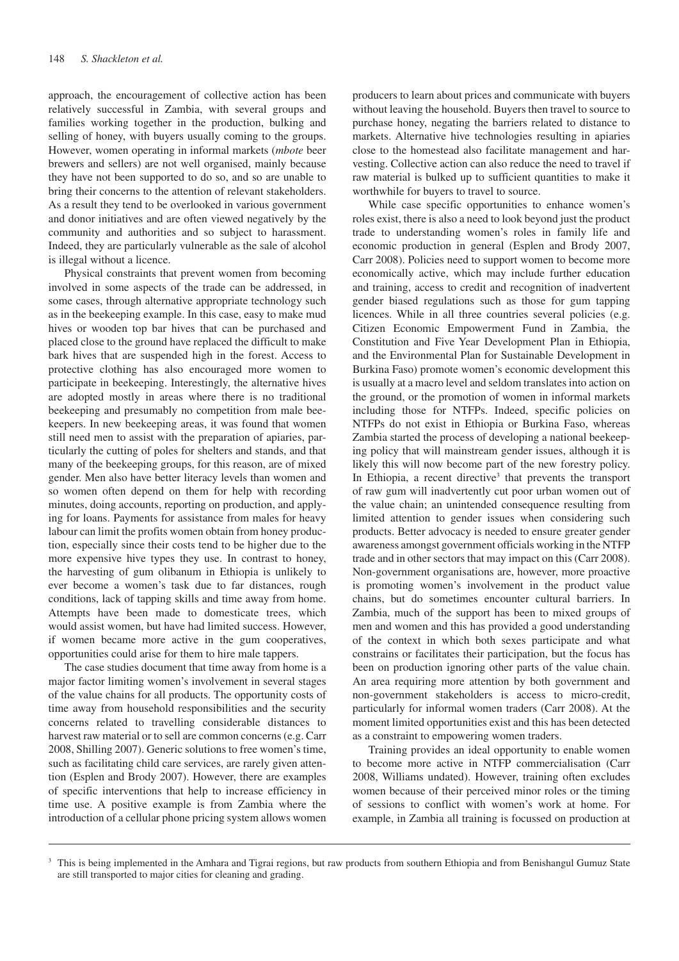approach, the encouragement of collective action has been relatively successful in Zambia, with several groups and families working together in the production, bulking and selling of honey, with buyers usually coming to the groups. However, women operating in informal markets (*mbote* beer brewers and sellers) are not well organised, mainly because they have not been supported to do so, and so are unable to bring their concerns to the attention of relevant stakeholders. As a result they tend to be overlooked in various government and donor initiatives and are often viewed negatively by the community and authorities and so subject to harassment. Indeed, they are particularly vulnerable as the sale of alcohol is illegal without a licence.

Physical constraints that prevent women from becoming involved in some aspects of the trade can be addressed, in some cases, through alternative appropriate technology such as in the beekeeping example. In this case, easy to make mud hives or wooden top bar hives that can be purchased and placed close to the ground have replaced the difficult to make bark hives that are suspended high in the forest. Access to protective clothing has also encouraged more women to participate in beekeeping. Interestingly, the alternative hives are adopted mostly in areas where there is no traditional beekeeping and presumably no competition from male beekeepers. In new beekeeping areas, it was found that women still need men to assist with the preparation of apiaries, particularly the cutting of poles for shelters and stands, and that many of the beekeeping groups, for this reason, are of mixed gender. Men also have better literacy levels than women and so women often depend on them for help with recording minutes, doing accounts, reporting on production, and applying for loans. Payments for assistance from males for heavy labour can limit the profits women obtain from honey production, especially since their costs tend to be higher due to the more expensive hive types they use. In contrast to honey, the harvesting of gum olibanum in Ethiopia is unlikely to ever become a women's task due to far distances, rough conditions, lack of tapping skills and time away from home. Attempts have been made to domesticate trees, which would assist women, but have had limited success. However, if women became more active in the gum cooperatives, opportunities could arise for them to hire male tappers.

The case studies document that time away from home is a major factor limiting women's involvement in several stages of the value chains for all products. The opportunity costs of time away from household responsibilities and the security concerns related to travelling considerable distances to harvest raw material or to sell are common concerns (e.g. Carr 2008, Shilling 2007). Generic solutions to free women's time, such as facilitating child care services, are rarely given attention (Esplen and Brody 2007). However, there are examples of specific interventions that help to increase efficiency in time use. A positive example is from Zambia where the introduction of a cellular phone pricing system allows women

producers to learn about prices and communicate with buyers without leaving the household. Buyers then travel to source to purchase honey, negating the barriers related to distance to markets. Alternative hive technologies resulting in apiaries close to the homestead also facilitate management and harvesting. Collective action can also reduce the need to travel if raw material is bulked up to sufficient quantities to make it worthwhile for buyers to travel to source.

While case specific opportunities to enhance women's roles exist, there is also a need to look beyond just the product trade to understanding women's roles in family life and economic production in general (Esplen and Brody 2007, Carr 2008). Policies need to support women to become more economically active, which may include further education and training, access to credit and recognition of inadvertent gender biased regulations such as those for gum tapping licences. While in all three countries several policies (e.g. Citizen Economic Empowerment Fund in Zambia, the Constitution and Five Year Development Plan in Ethiopia, and the Environmental Plan for Sustainable Development in Burkina Faso) promote women's economic development this is usually at a macro level and seldom translates into action on the ground, or the promotion of women in informal markets including those for NTFPs. Indeed, specific policies on NTFPs do not exist in Ethiopia or Burkina Faso, whereas Zambia started the process of developing a national beekeeping policy that will mainstream gender issues, although it is likely this will now become part of the new forestry policy. In Ethiopia, a recent directive<sup>3</sup> that prevents the transport of raw gum will inadvertently cut poor urban women out of the value chain; an unintended consequence resulting from limited attention to gender issues when considering such products. Better advocacy is needed to ensure greater gender awareness amongst government officials working in the NTFP trade and in other sectors that may impact on this (Carr 2008). Non-government organisations are, however, more proactive is promoting women's involvement in the product value chains, but do sometimes encounter cultural barriers. In Zambia, much of the support has been to mixed groups of men and women and this has provided a good understanding of the context in which both sexes participate and what constrains or facilitates their participation, but the focus has been on production ignoring other parts of the value chain. An area requiring more attention by both government and non-government stakeholders is access to micro-credit, particularly for informal women traders (Carr 2008). At the moment limited opportunities exist and this has been detected as a constraint to empowering women traders.

Training provides an ideal opportunity to enable women to become more active in NTFP commercialisation (Carr 2008, Williams undated). However, training often excludes women because of their perceived minor roles or the timing of sessions to conflict with women's work at home. For example, in Zambia all training is focussed on production at

<sup>&</sup>lt;sup>3</sup> This is being implemented in the Amhara and Tigrai regions, but raw products from southern Ethiopia and from Benishangul Gumuz State are still transported to major cities for cleaning and grading.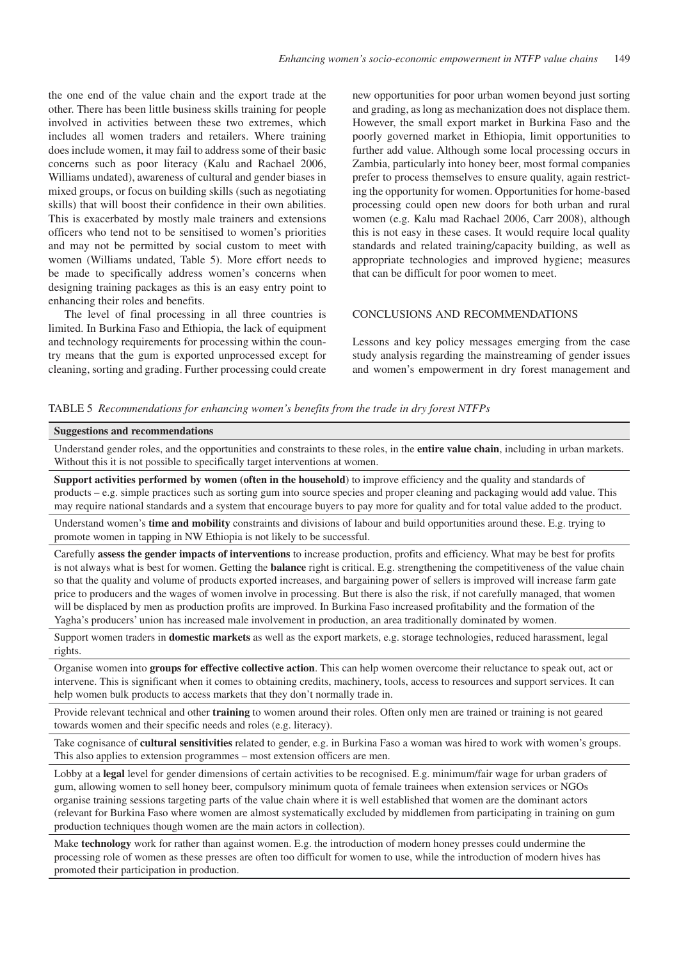the one end of the value chain and the export trade at the other. There has been little business skills training for people involved in activities between these two extremes, which includes all women traders and retailers. Where training does include women, it may fail to address some of their basic concerns such as poor literacy (Kalu and Rachael 2006, Williams undated), awareness of cultural and gender biases in mixed groups, or focus on building skills (such as negotiating skills) that will boost their confidence in their own abilities. This is exacerbated by mostly male trainers and extensions officers who tend not to be sensitised to women's priorities and may not be permitted by social custom to meet with women (Williams undated, Table 5). More effort needs to be made to specifically address women's concerns when designing training packages as this is an easy entry point to enhancing their roles and benefits.

The level of final processing in all three countries is limited. In Burkina Faso and Ethiopia, the lack of equipment and technology requirements for processing within the country means that the gum is exported unprocessed except for cleaning, sorting and grading. Further processing could create

new opportunities for poor urban women beyond just sorting and grading, as long as mechanization does not displace them. However, the small export market in Burkina Faso and the poorly governed market in Ethiopia, limit opportunities to further add value. Although some local processing occurs in Zambia, particularly into honey beer, most formal companies prefer to process themselves to ensure quality, again restricting the opportunity for women. Opportunities for home-based processing could open new doors for both urban and rural women (e.g. Kalu mad Rachael 2006, Carr 2008), although this is not easy in these cases. It would require local quality standards and related training/capacity building, as well as appropriate technologies and improved hygiene; measures that can be difficult for poor women to meet.

#### CONCLUSIONS AND RECOMMENDATIONS

Lessons and key policy messages emerging from the case study analysis regarding the mainstreaming of gender issues and women's empowerment in dry forest management and

TABLE 5 *Recommendations for enhancing women's benefits from the trade in dry forest NTFPs*

#### **Suggestions and recommendations**

Understand gender roles, and the opportunities and constraints to these roles, in the **entire value chain**, including in urban markets. Without this it is not possible to specifically target interventions at women.

**Support activities performed by women (often in the household**) to improve efficiency and the quality and standards of products – e.g. simple practices such as sorting gum into source species and proper cleaning and packaging would add value. This may require national standards and a system that encourage buyers to pay more for quality and for total value added to the product.

Understand women's **time and mobility** constraints and divisions of labour and build opportunities around these. E.g. trying to promote women in tapping in NW Ethiopia is not likely to be successful.

Carefully **assess the gender impacts of interventions** to increase production, profits and efficiency. What may be best for profits is not always what is best for women. Getting the **balance** right is critical. E.g. strengthening the competitiveness of the value chain so that the quality and volume of products exported increases, and bargaining power of sellers is improved will increase farm gate price to producers and the wages of women involve in processing. But there is also the risk, if not carefully managed, that women will be displaced by men as production profits are improved. In Burkina Faso increased profitability and the formation of the Yagha's producers' union has increased male involvement in production, an area traditionally dominated by women.

Support women traders in **domestic markets** as well as the export markets, e.g. storage technologies, reduced harassment, legal rights.

Organise women into **groups for effective collective action**. This can help women overcome their reluctance to speak out, act or intervene. This is significant when it comes to obtaining credits, machinery, tools, access to resources and support services. It can help women bulk products to access markets that they don't normally trade in.

Provide relevant technical and other **training** to women around their roles. Often only men are trained or training is not geared towards women and their specific needs and roles (e.g. literacy).

Take cognisance of **cultural sensitivities** related to gender, e.g. in Burkina Faso a woman was hired to work with women's groups. This also applies to extension programmes – most extension officers are men.

Lobby at a **legal** level for gender dimensions of certain activities to be recognised. E.g. minimum/fair wage for urban graders of gum, allowing women to sell honey beer, compulsory minimum quota of female trainees when extension services or NGOs organise training sessions targeting parts of the value chain where it is well established that women are the dominant actors (relevant for Burkina Faso where women are almost systematically excluded by middlemen from participating in training on gum production techniques though women are the main actors in collection).

Make **technology** work for rather than against women. E.g. the introduction of modern honey presses could undermine the processing role of women as these presses are often too difficult for women to use, while the introduction of modern hives has promoted their participation in production.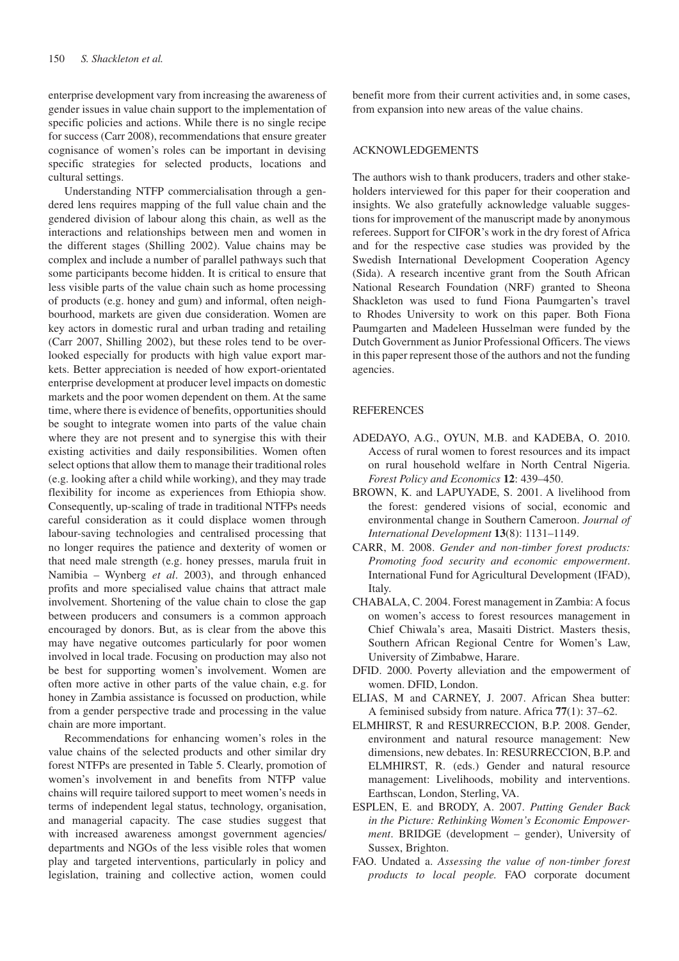enterprise development vary from increasing the awareness of gender issues in value chain support to the implementation of specific policies and actions. While there is no single recipe for success (Carr 2008), recommendations that ensure greater cognisance of women's roles can be important in devising specific strategies for selected products, locations and cultural settings.

Understanding NTFP commercialisation through a gendered lens requires mapping of the full value chain and the gendered division of labour along this chain, as well as the interactions and relationships between men and women in the different stages (Shilling 2002). Value chains may be complex and include a number of parallel pathways such that some participants become hidden. It is critical to ensure that less visible parts of the value chain such as home processing of products (e.g. honey and gum) and informal, often neighbourhood, markets are given due consideration. Women are key actors in domestic rural and urban trading and retailing (Carr 2007, Shilling 2002), but these roles tend to be overlooked especially for products with high value export markets. Better appreciation is needed of how export-orientated enterprise development at producer level impacts on domestic markets and the poor women dependent on them. At the same time, where there is evidence of benefits, opportunities should be sought to integrate women into parts of the value chain where they are not present and to synergise this with their existing activities and daily responsibilities. Women often select options that allow them to manage their traditional roles (e.g. looking after a child while working), and they may trade flexibility for income as experiences from Ethiopia show. Consequently, up-scaling of trade in traditional NTFPs needs careful consideration as it could displace women through labour-saving technologies and centralised processing that no longer requires the patience and dexterity of women or that need male strength (e.g. honey presses, marula fruit in Namibia – Wynberg *et al*. 2003), and through enhanced profits and more specialised value chains that attract male involvement. Shortening of the value chain to close the gap between producers and consumers is a common approach encouraged by donors. But, as is clear from the above this may have negative outcomes particularly for poor women involved in local trade. Focusing on production may also not be best for supporting women's involvement. Women are often more active in other parts of the value chain, e.g. for honey in Zambia assistance is focussed on production, while from a gender perspective trade and processing in the value chain are more important.

Recommendations for enhancing women's roles in the value chains of the selected products and other similar dry forest NTFPs are presented in Table 5. Clearly, promotion of women's involvement in and benefits from NTFP value chains will require tailored support to meet women's needs in terms of independent legal status, technology, organisation, and managerial capacity. The case studies suggest that with increased awareness amongst government agencies/ departments and NGOs of the less visible roles that women play and targeted interventions, particularly in policy and legislation, training and collective action, women could benefit more from their current activities and, in some cases, from expansion into new areas of the value chains.

#### ACKNOWLEDGEMENTS

The authors wish to thank producers, traders and other stakeholders interviewed for this paper for their cooperation and insights. We also gratefully acknowledge valuable suggestions for improvement of the manuscript made by anonymous referees. Support for CIFOR's work in the dry forest of Africa and for the respective case studies was provided by the Swedish International Development Cooperation Agency (Sida). A research incentive grant from the South African National Research Foundation (NRF) granted to Sheona Shackleton was used to fund Fiona Paumgarten's travel to Rhodes University to work on this paper. Both Fiona Paumgarten and Madeleen Husselman were funded by the Dutch Government as Junior Professional Officers. The views in this paper represent those of the authors and not the funding agencies.

#### **REFERENCES**

- ADEDAYO, A.G., OYUN, M.B. and KADEBA, O. 2010. Access of rural women to forest resources and its impact on rural household welfare in North Central Nigeria. *Forest Policy and Economics* **12**: 439–450.
- BROWN, K. and LAPUYADE, S. 2001. A livelihood from the forest: gendered visions of social, economic and environmental change in Southern Cameroon. *Journal of International Development* **13**(8): 1131–1149.
- CARR, M. 2008. *Gender and non-timber forest products: Promoting food security and economic empowerment*. International Fund for Agricultural Development (IFAD), Italy.
- CHABALA, C. 2004. Forest management in Zambia: A focus on women's access to forest resources management in Chief Chiwala's area, Masaiti District. Masters thesis, Southern African Regional Centre for Women's Law, University of Zimbabwe, Harare.
- DFID. 2000. Poverty alleviation and the empowerment of women. DFID, London.
- ELIAS, M and CARNEY, J. 2007. African Shea butter: A feminised subsidy from nature. Africa **77**(1): 37–62.
- ELMHIRST, R and RESURRECCION, B.P. 2008. Gender, environment and natural resource management: New dimensions, new debates. In: RESURRECCION, B.P. and ELMHIRST, R. (eds.) Gender and natural resource management: Livelihoods, mobility and interventions. Earthscan, London, Sterling, VA.
- ESPLEN, E. and BRODY, A. 2007. *Putting Gender Back in the Picture: Rethinking Women's Economic Empowerment*. BRIDGE (development – gender), University of Sussex, Brighton.
- FAO. Undated a. *Assessing the value of non-timber forest products to local people.* FAO corporate document